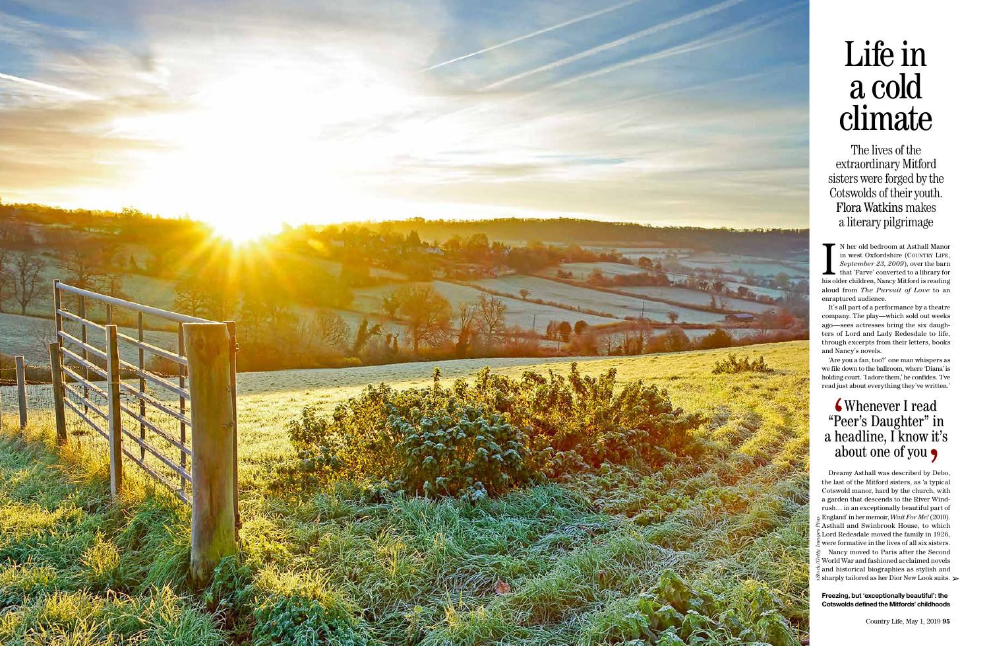

# Life in a cold climate

The lives of the extraordinary Mitford sisters were forged by the Cotswolds of their youth. Flora Watkins makes a literary pilgrimage

N her old bedroom at Asthall Manor<br>in west Oxfordshire (COUNTRY LIFE,<br>*September 23, 2009*), over the barn<br>that 'Farve' converted to a library for<br>his older children, Nancy Mitford is reading n her old bedroom at Asthall Manor in west Oxfordshire (COUNTRY LIFE, *September 23, 2009*), over the barn that 'Farve' converted to a library for aloud from *The Pursuit of Love* to an enraptured audience.

It's all part of a performance by a theatre company. The play—which sold out weeks ago—sees actresses bring the six daughters of Lord and Lady Redesdale to life, through excerpts from their letters, books and Nancy's novels.

'Are you a fan, too?' one man whispers as we file down to the ballroom, where 'Diana' is holding court. 'I adore them,' he confides. 'I've read just about everything they've written.'

**Freezing, but 'exceptionally beautiful': the Cotswolds defined the Mitfords' childhoods**

### Whenever I read "Peer's Daughter" in a headline, I know it's about one of you

*iStock/Getty Images Plus* Dreamy Asthall was described by Debo, the last of the Mitford sisters, as 'a typical Cotswold manor, hard by the church, with a garden that descends to the River Windrush… in an exceptionally beautiful part of England' in her memoir, *Wait For Me!* (2010).  $\tilde{\mathbb{R}}$  Asthall and Swinbrook House, to which  $\!\!\stackrel{ \textrm{\tiny def}}{S}\!\!$  Lord Redesdale moved the family in 1926, were formative in the lives of all six sisters. Nancy moved to Paris after the Second  $\frac{8}{5}$  World War and fashioned acclaimed novels  $\frac{2}{3}$  and historical biographies as stylish and  $\tilde{S}$  sharply tailored as her Dior New Look suits.  $\triangleright$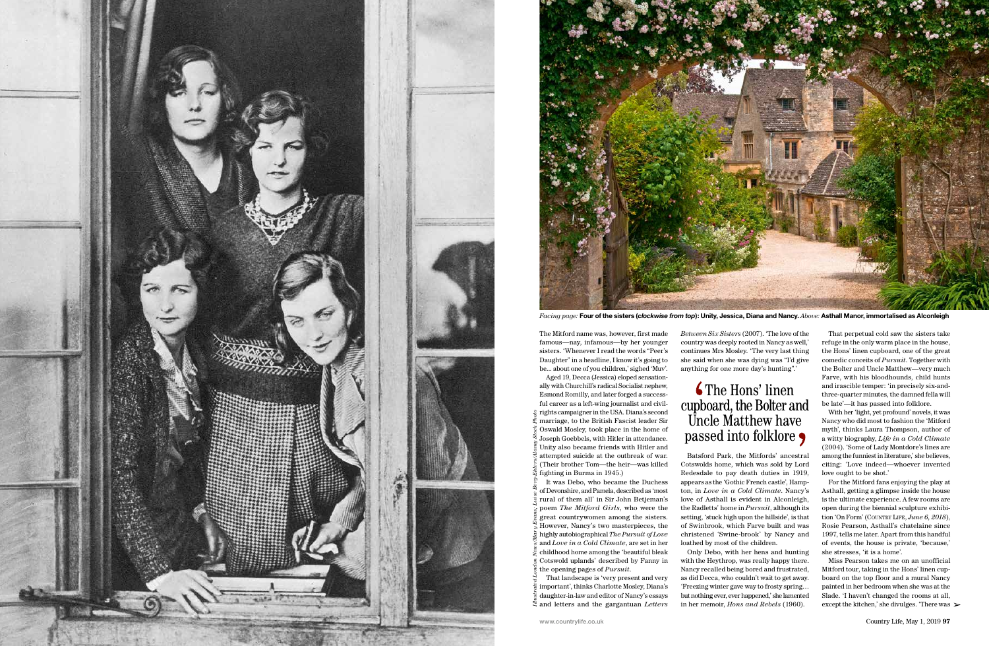*Facing page:* **Four of the sisters (***clockwise from top***): Unity, Jessica, Diana and Nancy.** *Above:* **Asthall Manor, immortalised as Alconleigh**

- Aged 19, Decca (Jessica) eloped sensationally with Churchill's radical Socialist nephew, Esmond Romilly, and later forged a successful career as a left-wing journalist and civilrights campaigner in the USA. Diana's second  $\tilde{\mathbb{S}}$  marriage, to the British Fascist leader Sir
- Oswald Mosley, took place in the home of Joseph Goebbels, with Hitler in attendance. Unity also became friends with Hitler and attempted suicide at the outbreak of war. (Their brother Tom—the heir—was killed fighting in Burma in 1945.)
- *Illustrated London News/Mary Evans; Luise Berg-Ehlers/Alamy Stock Photo* It was Debo, who became the Duchess of Devonshire, and Pamela, described as 'most rural of them all' in Sir John Betjeman's poem *The Mitford Girls*, who were the great countrywomen among the sisters. However, Nancy's two masterpieces, the highly autobiographical *The Pursuit of Love* and *Love in a Cold Climate*, are set in her childhood home among the 'beautiful bleak Cotswold uplands' described by Fanny in the opening pages of *Pursuit*.
- That landscape is 'very present and very important', thinks Charlotte Mosley, Diana's  $\frac{1}{2}$  daughter-in-law and editor of Nancy's essays  $\ddot{\tilde{z}}$  and letters and the gargantuan *Letters*





The Mitford name was, however, first made famous—nay, infamous—by her younger sisters. 'Whenever I read the words "Peer's Daughter" in a headline, I know it's going to be... about one of you children,' sighed 'Muv'.

*Between Six Sisters* (2007). 'The love of the country was deeply rooted in Nancy as well,' continues Mrs Mosley. 'The very last thing she said when she was dying was "I'd give anything for one more day's hunting".'

#### **6** The Hons' linen cupboard, the Bolter and Uncle Matthew have passed into folklore  $\bullet$

Miss Pearson takes me on an unofficial Mitford tour, taking in the Hons' linen cupboard on the top floor and a mural Nancy painted in her bedroom when she was at the Slade. 'I haven't changed the rooms at all, except the kitchen,' she divulges. 'There was  $\geq$ 

Batsford Park, the Mitfords' ancestral Cotswolds home, which was sold by Lord Redesdale to pay death duties in 1919, appears as the 'Gothic French castle', Hampton, in *Love in a Cold Climate*. Nancy's love of Asthall is evident in Alconleigh, the Radletts' home in *Pursuit*, although its setting, 'stuck high upon the hillside', is that of Swinbrook, which Farve built and was christened 'Swine-brook' by Nancy and loathed by most of the children.

Only Debo, with her hens and hunting with the Heythrop, was really happy there. Nancy recalled being bored and frustrated, as did Decca, who couldn't wait to get away. 'Freezing winter gave way to frosty spring… but nothing ever, ever happened,' she lamented in her memoir, *Hons and Rebels* (1960).

That perpetual cold saw the sisters take refuge in the only warm place in the house, the Hons' linen cupboard, one of the great comedic conceits of *Pursuit*. Together with the Bolter and Uncle Matthew—very much Farve, with his bloodhounds, child hunts and irascible temper: 'in precisely six-andthree-quarter minutes, the damned fella will be late'—it has passed into folklore.

With her 'light, yet profound' novels, it was Nancy who did most to fashion the 'Mitford myth', thinks Laura Thompson, author of a witty biography, *Life in a Cold Climate*  (2004). 'Some of Lady Montdore's lines are among the funniest in literature,' she believes, citing: 'Love indeed—whoever invented love ought to be shot.'

For the Mitford fans enjoying the play at Asthall, getting a glimpse inside the house is the ultimate experience. A few rooms are open during the biennial sculpture exhibition 'On Form' (COUNTRY LIFE, *June 6, 2018*), Rosie Pearson, Asthall's chatelaine since 1997, tells me later. Apart from this handful of events, the house is private, 'because,' she stresses, 'it is a home'.